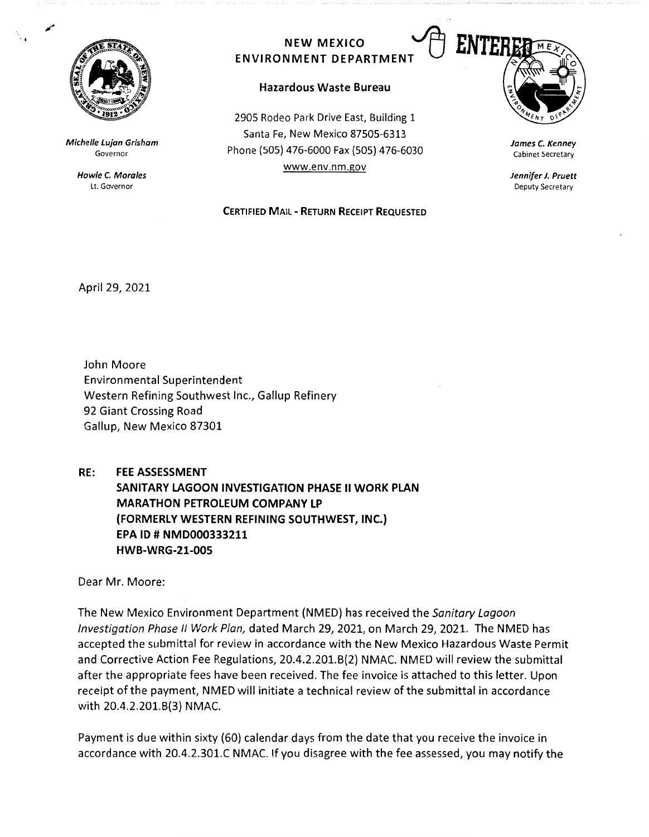

..

**Michelle Lujan Grisham**  Governor

> **Howie** *C.* **Morales**  Lt. Governor

## **NEW MEXICO** ~ **ENVIRONMENT DEPARTMENT <sup>u</sup>**

## **Hazardous Waste Bureau**

2905 Rodeo Park Drive East, Building 1 Santa Fe, New Mexico 87505-6313 Phone (SOS) 476-6000 Fax {SOS) 476-6030 www.env.nm.gov

## **CERTIFIED MAIL** - **RETURN RECEIPT REQUESTED**



**James** *C.* **Kenney**  Cabinet Secretary

**Jennifer J. Pruett**  Deputy Secretary

April 29, 2021

John Moore Environmental Superintendent Western Refining Southwest Inc., Gallup Refinery 92 Giant Crossing Road Gallup, New Mexico 87301

**RE: FEE ASSESSMENT SANITARY LAGOON INVESTIGATION PHASE** II **WORK PLAN MARATHON PETROLEUM COMPANY LP {FORMERLY WESTERN REFINING SOUTHWEST, INC.) EPA** ID# **NMD000333211 HWB-WRG-21-005** 

Dear Mr. Moore:

The New Mexico Environment Department (NMED) has received the Sanitary Lagoon Investigation Phase II Work Plan, dated March 29, 2021, on March 29, 2021. The NMED has accepted the submittal for review in accordance with the New Mexico Hazardous Waste Permit and Corrective Action Fee Regulations, 20.4.2.201.8(2) NMAC. NMED will review the submittal after the appropriate fees have been received. The fee invoice is attached to this letter. Upon receipt of the payment, NMED will initiate a technical review of the submittal in accordance with 20.4.2.201.8(3) NMAC.

Payment is due within sixty (60) calendar days from the date that you receive the invoice in accordance with 20.4.2.301.C NMAC. If you disagree with the fee assessed, you may notify the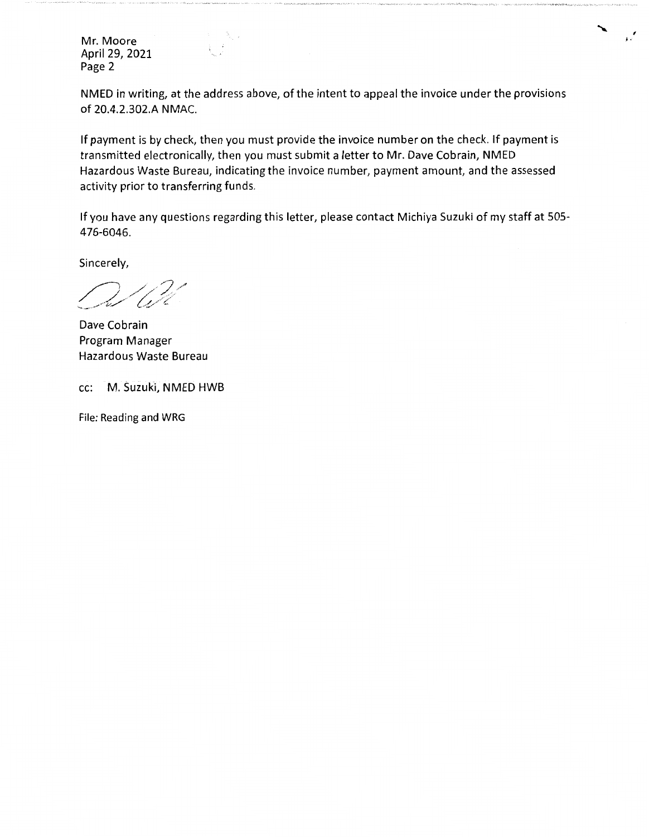Mr. Moore April 29, 2021 Page 2

NMED in writing, at the address above, of the intent to appeal the invoice under the provisions of 20.4.2.302.A NMAC.

*f*  ;.

If payment is by check, then you must provide the invoice number on the check. If payment is transmitted electronically, then you must submit a letter to Mr. Dave Cobrain, NMED Hazardous Waste Bureau, indicating the invoice number, payment amount, and the assessed activity prior to transferring funds.

If you have any questions regarding this letter, please contact Michiya Suzuki of my staff at 505- 476-6046.

Sincerely,

Dave Cobrain Program Manager Hazardous Waste Bureau

cc: M. Suzuki, NMED HWB

File: Reading and WRG